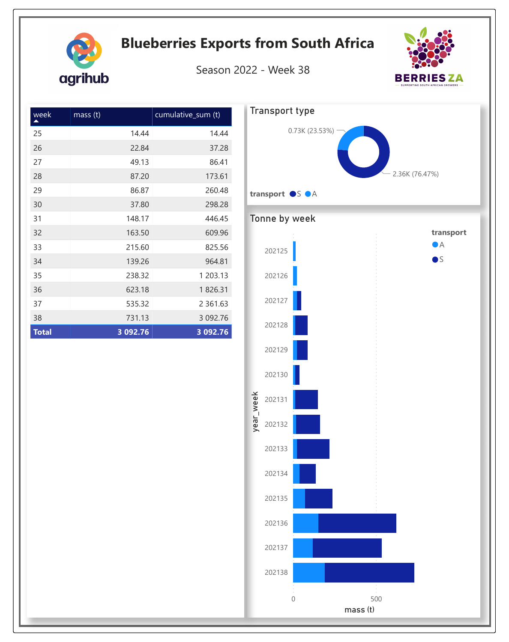|                    | Season 2022 - Week 38 |           |                       |                  |  |                |
|--------------------|-----------------------|-----------|-----------------------|------------------|--|----------------|
| cumulative_sum (t) |                       |           | <b>Transport type</b> |                  |  |                |
| 14.44              | 14.44                 |           |                       | 0.73K (23.53%) - |  |                |
| 22.84              | 37.28                 |           |                       |                  |  |                |
| 49.13              | 86.41                 |           |                       |                  |  |                |
| 87.20              | 173.61                |           |                       |                  |  | 2.36K (76.47%) |
| 86.87              | 260.48                |           | transport OS OA       |                  |  |                |
| 37.80              | 298.28                |           |                       |                  |  |                |
| 148.17             | 446.45                |           | Tonne by week         |                  |  |                |
| 163.50             | 609.96                |           |                       |                  |  | transport      |
| 215.60             | 825.56                |           | 202125                |                  |  | $\bullet$ A    |
| 139.26             | 964.81                |           |                       |                  |  | $\bullet$      |
| 238.32             | 1 203.13              |           | 202126                |                  |  |                |
| 623.18             | 1826.31               |           |                       |                  |  |                |
| 535.32             | 2 3 6 1 . 6 3         |           | 202127                |                  |  |                |
| 731.13             | 3 092.76              |           |                       |                  |  |                |
| 092.76             | 3 092.76              |           | 202128                |                  |  |                |
|                    |                       |           | 202129                |                  |  |                |
|                    |                       |           | 202130                |                  |  |                |
|                    |                       |           | 202131                |                  |  |                |
|                    |                       | year_week | 202132                |                  |  |                |
|                    |                       |           | 202133                |                  |  |                |
|                    |                       |           | 202134                |                  |  |                |
|                    |                       |           | 202135                |                  |  |                |
|                    |                       |           | 202136                |                  |  |                |
|                    |                       |           | 202137                |                  |  |                |
|                    |                       |           | 202138                |                  |  |                |

| week         | mass <sub>(t)</sub> | cumulative_sum (t) |
|--------------|---------------------|--------------------|
| 25           | 14.44               | 14.44              |
| 26           | 22.84               | 37.28              |
| 27           | 49.13               | 86.41              |
| 28           | 87.20               | 173.61             |
| 29           | 86.87               | 260.48             |
| 30           | 37.80               | 298.28             |
| 31           | 148.17              | 446.45             |
| 32           | 163.50              | 609.96             |
| 33           | 215.60              | 825.56             |
| 34           | 139.26              | 964.81             |
| 35           | 238.32              | 1 203.13           |
| 36           | 623.18              | 1826.31            |
| 37           | 535.32              | 2 3 6 1 . 6 3      |
| 38           | 731.13              | 3 092.76           |
| <b>Total</b> | 3 092.76            | 3 092.76           |

agrihub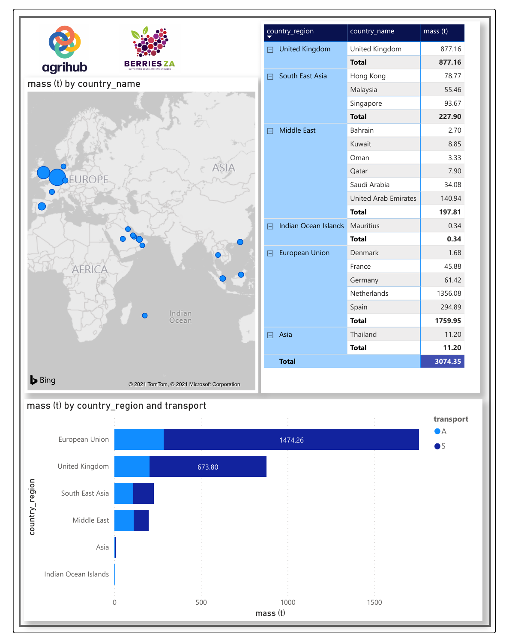